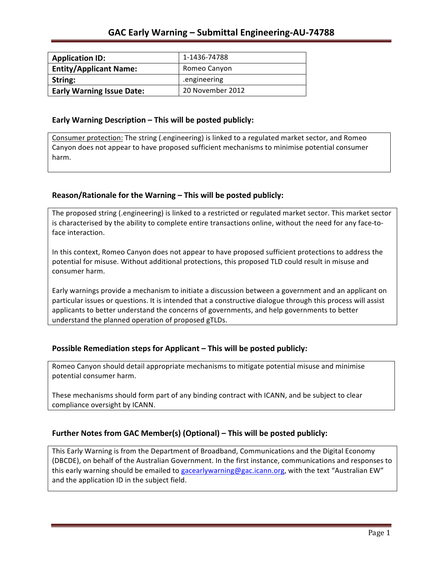| <b>Application ID:</b>           | 1-1436-74788     |
|----------------------------------|------------------|
| <b>Entity/Applicant Name:</b>    | Romeo Canyon     |
| String:                          | engineering.     |
| <b>Early Warning Issue Date:</b> | 20 November 2012 |

#### **Early Warning Description – This will be posted publicly:**

Consumer protection: The string (.engineering) is linked to a regulated market sector, and Romeo Canyon does not appear to have proposed sufficient mechanisms to minimise potential consumer harm.

## Reason/Rationale for the Warning - This will be posted publicly:

The proposed string (.engineering) is linked to a restricted or regulated market sector. This market sector is characterised by the ability to complete entire transactions online, without the need for any face-toface interaction.

In this context, Romeo Canyon does not appear to have proposed sufficient protections to address the potential for misuse. Without additional protections, this proposed TLD could result in misuse and consumer harm.

Early warnings provide a mechanism to initiate a discussion between a government and an applicant on particular issues or questions. It is intended that a constructive dialogue through this process will assist applicants to better understand the concerns of governments, and help governments to better understand the planned operation of proposed gTLDs.

## **Possible Remediation steps for Applicant – This will be posted publicly:**

Romeo Canyon should detail appropriate mechanisms to mitigate potential misuse and minimise potential consumer harm.

These mechanisms should form part of any binding contract with ICANN, and be subject to clear compliance oversight by ICANN.

## Further Notes from GAC Member(s) (Optional) – This will be posted publicly:

This Early Warning is from the Department of Broadband, Communications and the Digital Economy (DBCDE), on behalf of the Australian Government. In the first instance, communications and responses to this early warning should be emailed to gacearlywarning@gac.icann.org, with the text "Australian EW" and the application ID in the subject field.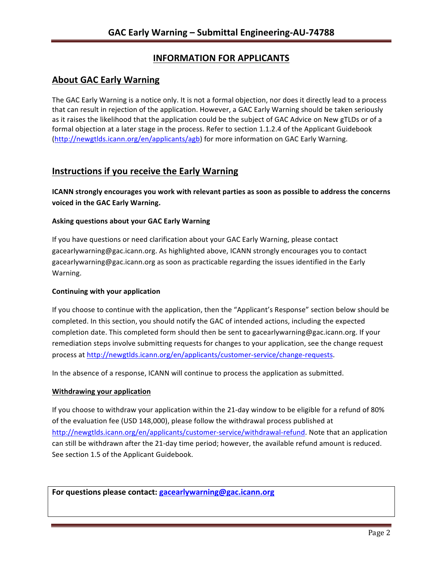# **INFORMATION FOR APPLICANTS**

# **About GAC Early Warning**

The GAC Early Warning is a notice only. It is not a formal objection, nor does it directly lead to a process that can result in rejection of the application. However, a GAC Early Warning should be taken seriously as it raises the likelihood that the application could be the subject of GAC Advice on New gTLDs or of a formal objection at a later stage in the process. Refer to section 1.1.2.4 of the Applicant Guidebook (http://newgtlds.icann.org/en/applicants/agb) for more information on GAC Early Warning.

## **Instructions if you receive the Early Warning**

**ICANN** strongly encourages you work with relevant parties as soon as possible to address the concerns **voiced in the GAC Early Warning.** 

### **Asking questions about your GAC Early Warning**

If you have questions or need clarification about your GAC Early Warning, please contact gacearlywarning@gac.icann.org. As highlighted above, ICANN strongly encourages you to contact gacearlywarning@gac.icann.org as soon as practicable regarding the issues identified in the Early Warning. 

#### **Continuing with your application**

If you choose to continue with the application, then the "Applicant's Response" section below should be completed. In this section, you should notify the GAC of intended actions, including the expected completion date. This completed form should then be sent to gacearlywarning@gac.icann.org. If your remediation steps involve submitting requests for changes to your application, see the change request process at http://newgtlds.icann.org/en/applicants/customer-service/change-requests.

In the absence of a response, ICANN will continue to process the application as submitted.

#### **Withdrawing your application**

If you choose to withdraw your application within the 21-day window to be eligible for a refund of 80% of the evaluation fee (USD 148,000), please follow the withdrawal process published at http://newgtlds.icann.org/en/applicants/customer-service/withdrawal-refund. Note that an application can still be withdrawn after the 21-day time period; however, the available refund amount is reduced. See section 1.5 of the Applicant Guidebook.

For questions please contact: gacearlywarning@gac.icann.org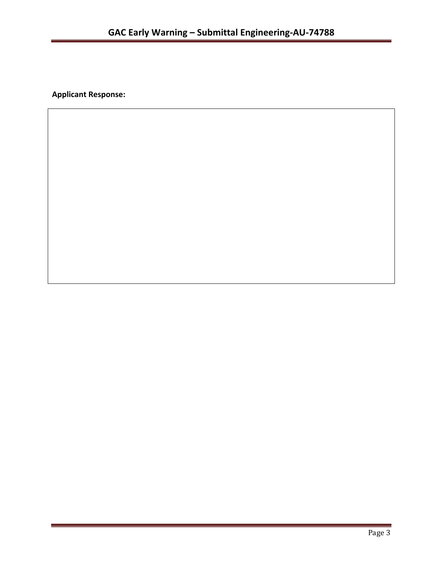**Applicant Response:**